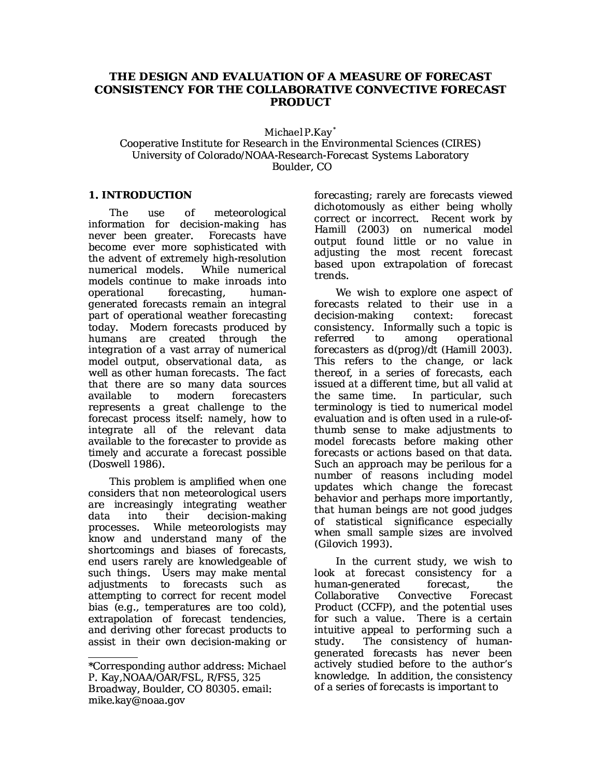# THE DESIGN AND EVALUATION OF A MEASURE OF FORECAST **CONSISTENCY FOR THE COLLABORATIVE CONVECTIVE FORECAST PRODUCT**

Michael P.Kay<sup>\*</sup>

Cooperative Institute for Research in the Environmental Sciences (CIRES) University of Colorado/NOAA-Research-Forecast Systems Laboratory Boulder, CO

## **1. INTRODUCTION**

The  $_{\rm lISE}$ of meteorological information for decision-making has never been greater. Forecasts have become ever more sophisticated with the advent of extremely high-resolution While numerical numerical models. models continue to make inroads into operational forecasting. humangenerated forecasts remain an integral part of operational weather forecasting today. Modern forecasts produced by humans are created through the integration of a vast array of numerical model output, observational data, as well as other human forecasts. The fact that there are so many data sources modern available  $to$ forecasters represents a great challenge to the forecast process itself: namely, how to integrate all of the relevant data available to the forecaster to provide as timely and accurate a forecast possible (Doswell 1986).

This problem is amplified when one considers that non meteorological users are increasingly integrating weather decision-making data into their While meteorologists may processes. know and understand many of the shortcomings and biases of forecasts, end users rarely are knowledgeable of such things. Users may make mental adjustments to forecasts such as attempting to correct for recent model bias (e.g., temperatures are too cold), extrapolation of forecast tendencies. and deriving other forecast products to assist in their own decision-making or forecasting; rarely are forecasts viewed dichotomously as either being wholly correct or incorrect. Recent work by Hamill (2003) on numerical model output found little or no value in adjusting the most recent forecast based upon extrapolation of forecast trends.

We wish to explore one aspect of forecasts related to their use in a decision-making context: forecast consistency. Informally such a topic is referred among operational to forecasters as  $d(proq)/dt$  (Hamill 2003). This refers to the change, or lack thereof, in a series of forecasts, each issued at a different time, but all valid at In particular, such the same time. terminology is tied to numerical model evaluation and is often used in a rule-ofthumb sense to make adjustments to model forecasts before making other forecasts or actions based on that data. Such an approach may be perilous for a number of reasons including model updates which change the forecast behavior and perhaps more importantly. that human beings are not good judges of statistical significance especially when small sample sizes are involved (Gilovich 1993).

In the current study, we wish to look at forecast consistency for a human-generated forecast, the Collaborative Convective Forecast Product (CCFP), and the potential uses for such a value. There is a certain intuitive appeal to performing such a study. The consistency of human-<br>generated forecasts has never been actively studied before to the author's knowledge. In addition, the consistency of a series of forecasts is important to

<sup>\*</sup>Corresponding author address: Michael P. Kay, NOAA/OAR/FSL, R/FS5, 325 Broadway, Boulder, CO 80305. email: mike.kay@noaa.gov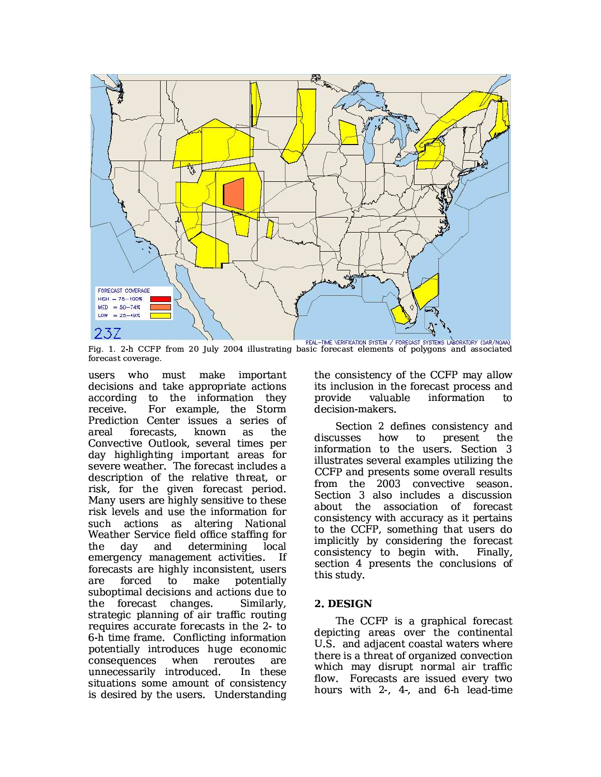

Fig. 1. 2-h CCFP from 20 July 2004 illustrating basic forecast elements of polygons and associated forecast coverage.

must make important users who decisions and take appropriate actions according to the information they For example, the Storm receive. Prediction Center issues a series of forecasts, areal known as the Convective Outlook, several times per day highlighting important areas for severe weather. The forecast includes a description of the relative threat, or risk, for the given forecast period. Many users are highly sensitive to these risk levels and use the information for such actions as altering National Weather Service field office staffing for the dav and determining local emergency management activities. If forecasts are highly inconsistent, users are forced to make potentially suboptimal decisions and actions due to the forecast changes. Similarly. strategic planning of air traffic routing requires accurate forecasts in the 2-to 6-h time frame. Conflicting information potentially introduces huge economic consequences when reroutes are unnecessarily introduced. In these situations some amount of consistency is desired by the users. Understanding

the consistency of the CCFP may allow its inclusion in the forecast process and valuable information provide to. decision-makers.

Section 2 defines consistency and discusses how to present the information to the users. Section 3 illustrates several examples utilizing the CCFP and presents some overall results from the 2003 convective season. Section 3 also includes a discussion about the association of forecast consistency with accuracy as it pertains to the CCFP, something that users do implicitly by considering the forecast consistency to begin with. Finally. section 4 presents the conclusions of this study.

## 2. DESIGN

The CCFP is a graphical forecast depicting areas over the continental U.S. and adjacent coastal waters where there is a threat of organized convection which may disrupt normal air traffic flow. Forecasts are issued every two hours with 2, 4, and 6-h lead-time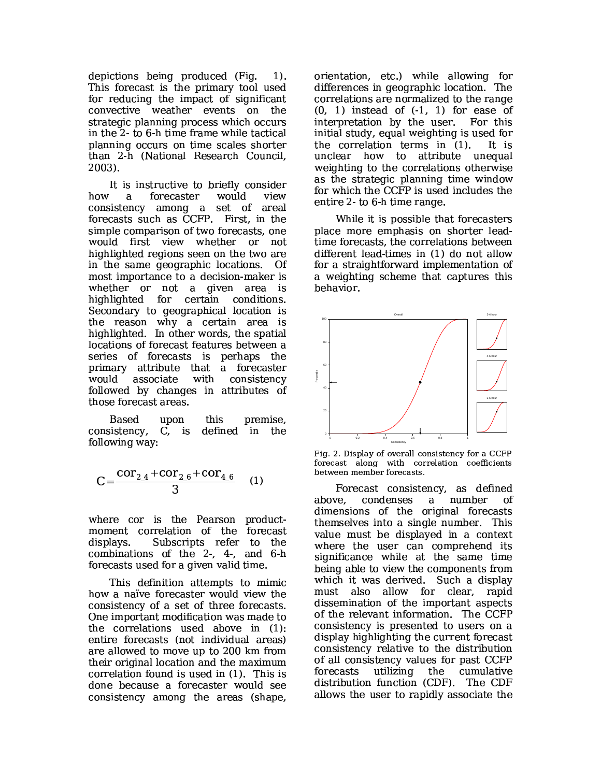depictions being produced (Fig.  $1$ . This forecast is the primary tool used for reducing the impact of significant convective weather events on the strategic planning process which occurs in the 2-to 6-h time frame while tactical planning occurs on time scales shorter than 2-h (National Research Council,  $2003$ ).

It is instructive to briefly consider how  $a$ forecaster would view consistency among a set of areal forecasts such as CCFP. First, in the simple comparison of two forecasts, one would first view whether or not highlighted regions seen on the two are in the same geographic locations. Of most importance to a decision-maker is whether or not a given area is highlighted for certain conditions. Secondary to geographical location is the reason why a certain area is highlighted. In other words, the spatial locations of forecast features between a series of forecasts is perhaps the primary attribute that a forecaster associate with consistency would followed by changes in attributes of those forecast areas.

Based upon this premise, consistency, C, is defined in the following way:

$$
C = \frac{\text{cor}_{2,4} + \text{cor}_{2,6} + \text{cor}_{4,6}}{3} \quad (1)
$$

where cor is the Pearson productmoment correlation of the forecast Subscripts refer to the displays. combinations of the 2, 4, and 6-h forecasts used for a given valid time.

This definition attempts to mimic how a naïve forecaster would view the consistency of a set of three forecasts. One important modification was made to the correlations used above in (1): entire forecasts (not individual areas) are allowed to move up to 200 km from their original location and the maximum correlation found is used in (1). This is done because a forecaster would see consistency among the areas (shape,

orientation, etc.) while allowing for differences in geographic location. The correlations are normalized to the range  $(0, 1)$  instead of  $(-1, 1)$  for ease of interpretation by the user. For this initial study, equal weighting is used for the correlation terms in (1). It is unclear how to attribute unequal weighting to the correlations otherwise as the strategic planning time window for which the CCFP is used includes the entire 2-to 6-h time range.

While it is possible that forecasters place more emphasis on shorter leadtime forecasts, the correlations between different lead-times in (1) do not allow for a straightforward implementation of a weighting scheme that captures this behavior.



Fig. 2. Display of overall consistency for a CCFP forecast along with correlation coefficients between member forecasts.

Forecast consistency, as defined above. condenses  $\mathbf{a}$ number ∩f dimensions of the original forecasts themselves into a single number. This value must be displayed in a context where the user can comprehend its significance while at the same time being able to view the components from which it was derived. Such a display must also allow for clear, rapid dissemination of the important aspects of the relevant information. The CCFP consistency is presented to users on a display highlighting the current forecast consistency relative to the distribution of all consistency values for past CCFP forecasts utilizina the cumulative distribution function (CDF). The CDF allows the user to rapidly associate the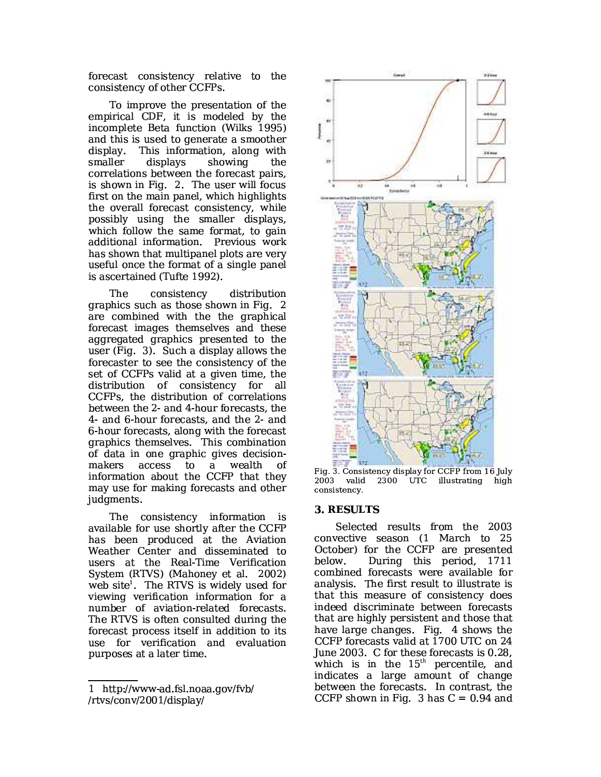forecast consistency relative to the consistency of other CCFPs.

To improve the presentation of the empirical CDF, it is modeled by the incomplete Beta function (Wilks 1995) and this is used to generate a smoother display. This information, along with smaller displays showing the correlations between the forecast pairs, is shown in Fig. 2. The user will focus first on the main panel, which highlights the overall forecast consistency, while possibly using the smaller displays, which follow the same format, to gain additional information. Previous work has shown that multipanel plots are very useful once the format of a single panel is ascertained (Tufte 1992).

The consistency distribution graphics such as those shown in Fig. 2 are combined with the the graphical forecast images themselves and these aggregated graphics presented to the user (Fig. 3). Such a display allows the forecaster to see the consistency of the set of CCFPs valid at a given time, the distribution of consistency for all CCFPs, the distribution of correlations between the 2- and 4-hour forecasts, the 4- and 6-hour forecasts, and the 2- and 6-hour forecasts, along with the forecast graphics themselves. This combination of data in one graphic gives decisionmakers access to a wealth of information about the CCFP that they may use for making forecasts and other judgments.

The consistency information is available for use shortly after the CCFP has been produced at the Aviation Weather Center and disseminated to users at the Real-Time Verification System (RTVS) (Mahoney et al. 2002) web site<sup>1</sup>. The RTVS is widely used for viewing verification information for a number of aviation-related forecasts. The RTVS is often consulted during the forecast process itself in addition to its use for verification and evaluation purposes at a later time.



Fig. 3. Consistency display for CCFP from 16 July 2003 valid 2300 UTC illustrating high consistency.

#### 3. RESULTS

Selected results from the 2003 convective season (1 March to 25 October) for the CCFP are presented During this period, 1711 below. combined forecasts were available for analysis. The first result to illustrate is that this measure of consistency does indeed discriminate between forecasts that are highly persistent and those that have large changes. Fig. 4 shows the CCFP forecasts valid at 1700 UTC on 24 June 2003. C for these forecasts is 0.28, which is in the 15<sup>th</sup> percentile, and indicates a large amount of change between the forecasts. In contrast, the CCFP shown in Fig. 3 has  $C = 0.94$  and

<sup>1</sup> http://www-ad.fsl.noaa.gov/fvb/ /rtvs/conv/2001/display/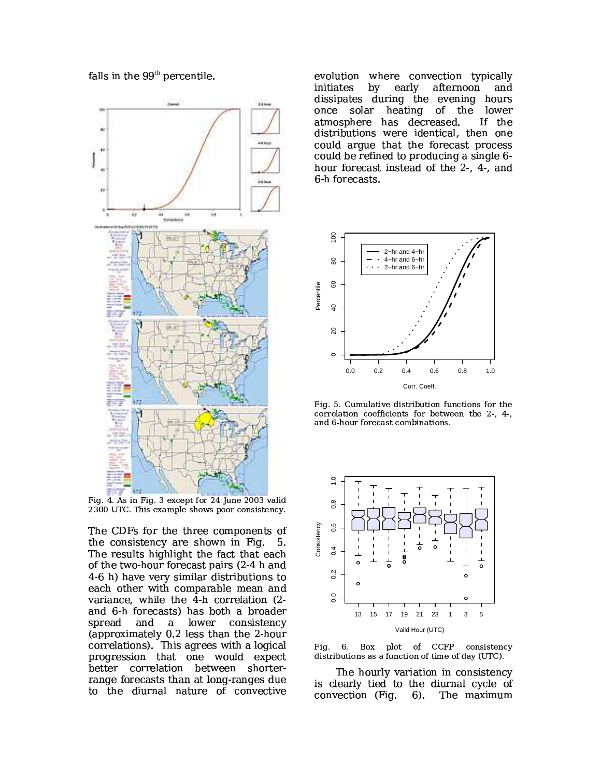

falls in the 99<sup>th</sup> percentile.

Fig. 4. As in Fig. 3 except for 24 June 2003 valid 2300 UTC. This example shows poor consistency.

The CDFs for the three components of the consistency are shown in Fig. 5. The results highlight the fact that each of the two-hour forecast pairs (2-4 h and 4-6 h) have very similar distributions to each other with comparable mean and variance, while the  $\overline{4}$ -h correlation (2and 6-h forecasts) has both a broader spread and lower consistency  $\mathbf{a}$ (approximately 0.2 less than the 2-hour correlations). This agrees with a logical progression that one would expect better correlation between shorterrange forecasts than at long-ranges due to the diurnal nature of convective

evolution where convection typically initiates by early afternoon and dissipates during the evening hours once solar heating of the lower atmosphere has decreased. If the distributions were identical, then one could argue that the forecast process could be refined to producing a single 6hour forecast instead of the 2-, 4-, and 6 h forecasts.



Fig. 5. Cumulative distribution functions for the correlation coefficients for between the 2-, 4-, and 6-hour forecast combinations.



6. Box plot of CCFP consistency Fig. distributions as a function of time of day (UTC).

The hourly variation in consistency is clearly tied to the diurnal cycle of convection (Fig. 6). The maximum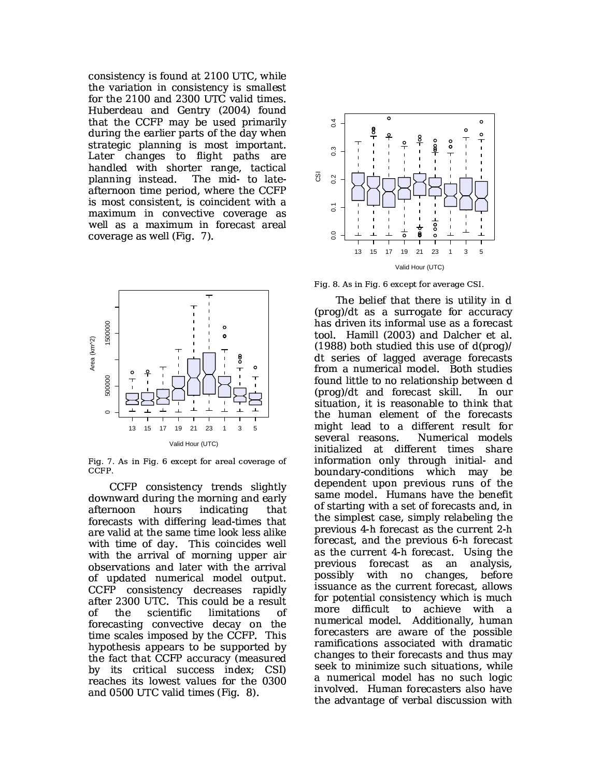consistency is found at 2100 UTC, while the variation in consistency is smallest for the 2100 and 2300 UTC valid times. Huberdeau and Gentry (2004) found that the CCFP may be used primarily during the earlier parts of the day when strategic planning is most important. Later changes to flight paths are handled with shorter range, tactical planning instead. The mid- to lateafternoon time period, where the CCFP is most consistent, is coincident with a maximum in convective coverage as well as a maximum in forecast areal coverage as well (Fig. 7).



Fig. 7. As in Fig. 6 except for areal coverage of CCFP.

CCFP consistency trends slightly downward during the morning and early afternoon hours indicating that forecasts with differing lead-times that are valid at the same time look less alike with time of day. This coincides well with the arrival of morning upper air observations and later with the arrival of updated numerical model output. CCFP consistency decreases rapidly after 2300 UTC. This could be a result the scientific limitations of οf forecasting convective decay on the time scales imposed by the CCFP. This hypothesis appears to be supported by the fact that CCFP accuracy (measured by its critical success index; CSI) reaches its lowest values for the 0300 and 0500 UTC valid times (Fig. 8).



Fig. 8. As in Fig. 6 except for average CSI.

The belief that there is utility in d (prog)/dt as a surrogate for accuracy has driven its informal use as a forecast tool. Hamill (2003) and Dalcher et al.  $(1988)$  both studied this use of  $d(proq)/$ dt series of lagged average forecasts from a numerical model. Both studies found little to no relationship between d (prog)/dt and forecast skill. In our situation, it is reasonable to think that the human element of the forecasts might lead to a different result for several reasons. Numerical models initialized at different times share information only through initial- and boundary-conditions which may be dependent upon previous runs of the same model. Humans have the benefit of starting with a set of forecasts and, in the simplest case, simply relabeling the previous 4-h forecast as the current 2-h forecast, and the previous 6-h forecast as the current 4-h forecast. Using the previous forecast analysis. as an possibly with no changes, before issuance as the current forecast, allows for potential consistency which is much more difficult to achieve with a numerical model. Additionally, human forecasters are aware of the possible ramifications associated with dramatic changes to their forecasts and thus may seek to minimize such situations, while a numerical model has no such logic involved. Human forecasters also have the advantage of verbal discussion with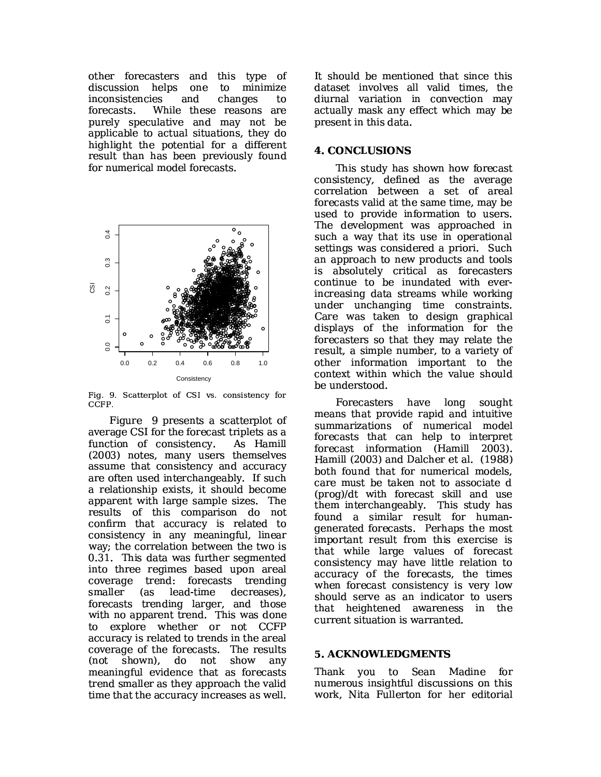other forecasters and this type of discussion helps one to minimize inconsistencies and changes to While these reasons are forecasts. purely speculative and may not be applicable to actual situations, they do highlight the potential for a different result than has been previously found for numerical model forecasts.



Fig. 9. Scatterplot of CSI vs. consistency for CCFP.

Figure 9 presents a scatterplot of average CSI for the forecast triplets as a function of consistency. As Hamill (2003) notes, many users themselves assume that consistency and accuracy are often used interchangeably. If such a relationship exists, it should become apparent with large sample sizes. The results of this comparison do not confirm that accuracy is related to consistency in any meaningful, linear way; the correlation between the two is 0.31. This data was further segmented into three regimes based upon areal coverage trend: forecasts trending smaller (as lead-time decreases), forecasts trending larger, and those with no apparent trend. This was done to explore whether or not CCFP accuracy is related to trends in the areal coverage of the forecasts. The results (not shown). - do not show any meaningful evidence that as forecasts trend smaller as they approach the valid time that the accuracy increases as well.

It should be mentioned that since this dataset involves all valid times, the diurnal variation in convection may actually mask any effect which may be present in this data.

### **4. CONCLUSIONS**

This study has shown how forecast consistency, defined as the average correlation between a set of areal forecasts valid at the same time, may be used to provide information to users. The development was approached in such a way that its use in operational settings was considered a priori. Such an approach to new products and tools is absolutely critical as forecasters continue to be inundated with everincreasing data streams while working under unchanging time constraints. Care was taken to design graphical displays of the information for the forecasters so that they may relate the result, a simple number, to a variety of other information important to the context within which the value should be understood.

Forecasters have long sought means that provide rapid and intuitive summarizations of numerical model forecasts that can help to interpret forecast information (Hamill 2003). Hamill (2003) and Dalcher et al. (1988) both found that for numerical models. care must be taken not to associate d (prog)/dt with forecast skill and use them interchangeably. This study has found a similar result for humangenerated forecasts. Perhaps the most important result from this exercise is that while large values of forecast consistency may have little relation to accuracy of the forecasts, the times when forecast consistency is very low should serve as an indicator to users that heightened awareness in the current situation is warranted.

#### **5. ACKNOWLEDGMENTS**

Thank you to Sean Madine for numerous insightful discussions on this work, Nita Fullerton for her editorial